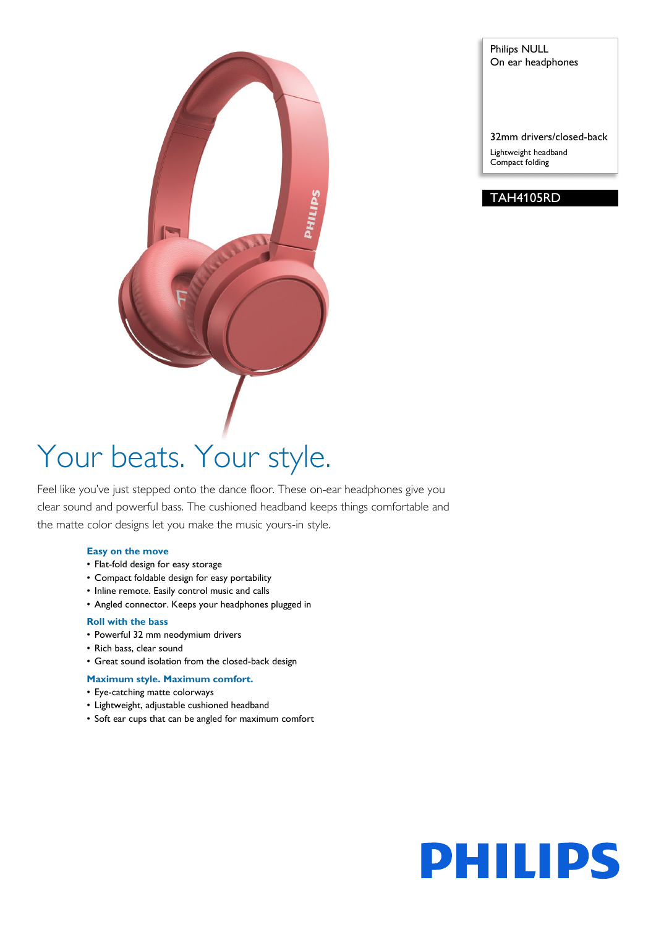

Philips NULL On ear headphones

32mm drivers/closed-back Lightweight headband Compact folding

### TAH4105RD

# Your beats. Your style.

Feel like you've just stepped onto the dance floor. These on-ear headphones give you clear sound and powerful bass. The cushioned headband keeps things comfortable and the matte color designs let you make the music yours-in style.

#### **Easy on the move**

- Flat-fold design for easy storage
- Compact foldable design for easy portability
- Inline remote. Easily control music and calls
- Angled connector. Keeps your headphones plugged in

#### **Roll with the bass**

- Powerful 32 mm neodymium drivers
- Rich bass, clear sound
- Great sound isolation from the closed-back design

#### **Maximum style. Maximum comfort.**

- Eye-catching matte colorways
- Lightweight, adjustable cushioned headband
- Soft ear cups that can be angled for maximum comfort